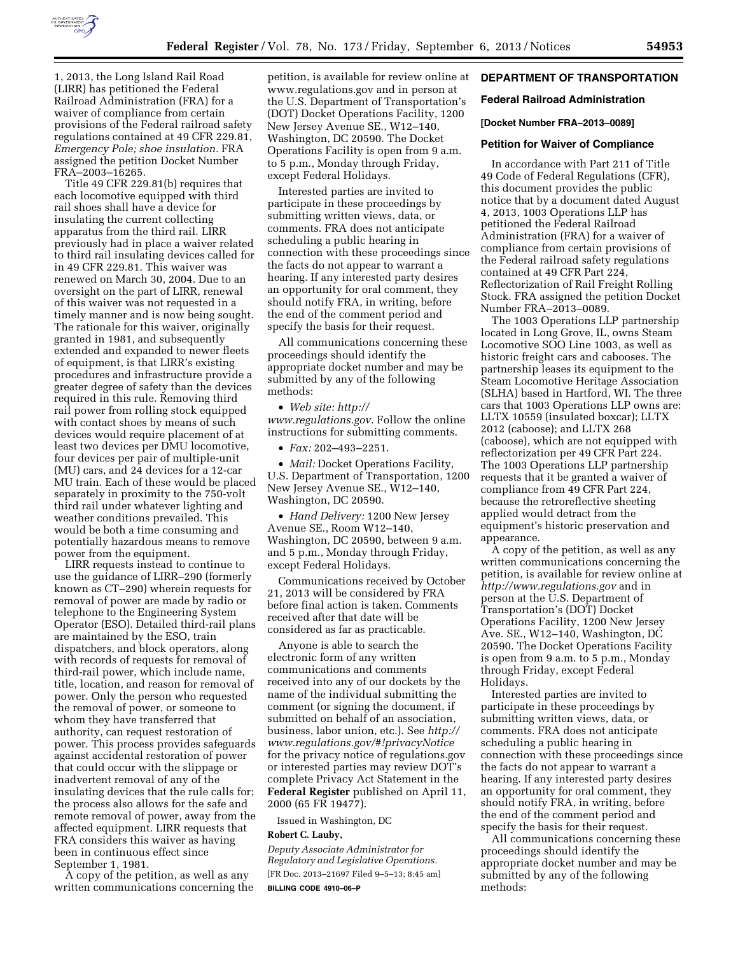

1, 2013, the Long Island Rail Road (LIRR) has petitioned the Federal Railroad Administration (FRA) for a waiver of compliance from certain provisions of the Federal railroad safety regulations contained at 49 CFR 229.81, *Emergency Pole; shoe insulation.* FRA assigned the petition Docket Number FRA–2003–16265.

Title 49 CFR 229.81(b) requires that each locomotive equipped with third rail shoes shall have a device for insulating the current collecting apparatus from the third rail. LIRR previously had in place a waiver related to third rail insulating devices called for in 49 CFR 229.81. This waiver was renewed on March 30, 2004. Due to an oversight on the part of LIRR, renewal of this waiver was not requested in a timely manner and is now being sought. The rationale for this waiver, originally granted in 1981, and subsequently extended and expanded to newer fleets of equipment, is that LIRR's existing procedures and infrastructure provide a greater degree of safety than the devices required in this rule. Removing third rail power from rolling stock equipped with contact shoes by means of such devices would require placement of at least two devices per DMU locomotive, four devices per pair of multiple-unit (MU) cars, and 24 devices for a 12-car MU train. Each of these would be placed separately in proximity to the 750-volt third rail under whatever lighting and weather conditions prevailed. This would be both a time consuming and potentially hazardous means to remove power from the equipment.

LIRR requests instead to continue to use the guidance of LIRR–290 (formerly known as CT–290) wherein requests for removal of power are made by radio or telephone to the Engineering System Operator (ESO). Detailed third-rail plans are maintained by the ESO, train dispatchers, and block operators, along with records of requests for removal of third-rail power, which include name, title, location, and reason for removal of power. Only the person who requested the removal of power, or someone to whom they have transferred that authority, can request restoration of power. This process provides safeguards against accidental restoration of power that could occur with the slippage or inadvertent removal of any of the insulating devices that the rule calls for; the process also allows for the safe and remote removal of power, away from the affected equipment. LIRR requests that FRA considers this waiver as having been in continuous effect since September 1, 1981.

A copy of the petition, as well as any written communications concerning the petition, is available for review online at [www.regulations.gov](http://www.regulations.gov) and in person at the U.S. Department of Transportation's (DOT) Docket Operations Facility, 1200 New Jersey Avenue SE., W12–140, Washington, DC 20590. The Docket Operations Facility is open from 9 a.m. to 5 p.m., Monday through Friday, except Federal Holidays.

Interested parties are invited to participate in these proceedings by submitting written views, data, or comments. FRA does not anticipate scheduling a public hearing in connection with these proceedings since the facts do not appear to warrant a hearing. If any interested party desires an opportunity for oral comment, they should notify FRA, in writing, before the end of the comment period and specify the basis for their request.

All communications concerning these proceedings should identify the appropriate docket number and may be submitted by any of the following methods:

• *Web site: [http://](http://www.regulations.gov) [www.regulations.gov.](http://www.regulations.gov)* Follow the online instructions for submitting comments.

• *Fax:* 202–493–2251.

• *Mail:* Docket Operations Facility, U.S. Department of Transportation, 1200 New Jersey Avenue SE., W12–140, Washington, DC 20590.

• *Hand Delivery:* 1200 New Jersey Avenue SE., Room W12–140, Washington, DC 20590, between 9 a.m. and 5 p.m., Monday through Friday, except Federal Holidays.

Communications received by October 21, 2013 will be considered by FRA before final action is taken. Comments received after that date will be considered as far as practicable.

Anyone is able to search the electronic form of any written communications and comments received into any of our dockets by the name of the individual submitting the comment (or signing the document, if submitted on behalf of an association, business, labor union, etc.). See *[http://](http://www.regulations.gov/#!privacyNotice) [www.regulations.gov/#!privacyNotice](http://www.regulations.gov/#!privacyNotice)*  for the privacy notice of regulations.gov or interested parties may review DOT's complete Privacy Act Statement in the **Federal Register** published on April 11, 2000 (65 FR 19477).

Issued in Washington, DC

### **Robert C. Lauby,**

*Deputy Associate Administrator for Regulatory and Legislative Operations.*  [FR Doc. 2013–21697 Filed 9–5–13; 8:45 am] **BILLING CODE 4910–06–P** 

# **DEPARTMENT OF TRANSPORTATION**

### **Federal Railroad Administration**

#### **[Docket Number FRA–2013–0089]**

#### **Petition for Waiver of Compliance**

In accordance with Part 211 of Title 49 Code of Federal Regulations (CFR), this document provides the public notice that by a document dated August 4, 2013, 1003 Operations LLP has petitioned the Federal Railroad Administration (FRA) for a waiver of compliance from certain provisions of the Federal railroad safety regulations contained at 49 CFR Part 224, Reflectorization of Rail Freight Rolling Stock. FRA assigned the petition Docket Number FRA–2013–0089.

The 1003 Operations LLP partnership located in Long Grove, IL, owns Steam Locomotive SOO Line 1003, as well as historic freight cars and cabooses. The partnership leases its equipment to the Steam Locomotive Heritage Association (SLHA) based in Hartford, WI. The three cars that 1003 Operations LLP owns are: LLTX 10559 (insulated boxcar); LLTX 2012 (caboose); and LLTX 268 (caboose), which are not equipped with reflectorization per 49 CFR Part 224. The 1003 Operations LLP partnership requests that it be granted a waiver of compliance from 49 CFR Part 224, because the retroreflective sheeting applied would detract from the equipment's historic preservation and appearance.

A copy of the petition, as well as any written communications concerning the petition, is available for review online at *<http://www.regulations.gov>* and in person at the U.S. Department of Transportation's (DOT) Docket Operations Facility, 1200 New Jersey Ave. SE., W12–140, Washington, DC 20590. The Docket Operations Facility is open from 9 a.m. to 5 p.m., Monday through Friday, except Federal Holidays.

Interested parties are invited to participate in these proceedings by submitting written views, data, or comments. FRA does not anticipate scheduling a public hearing in connection with these proceedings since the facts do not appear to warrant a hearing. If any interested party desires an opportunity for oral comment, they should notify FRA, in writing, before the end of the comment period and specify the basis for their request.

All communications concerning these proceedings should identify the appropriate docket number and may be submitted by any of the following methods: